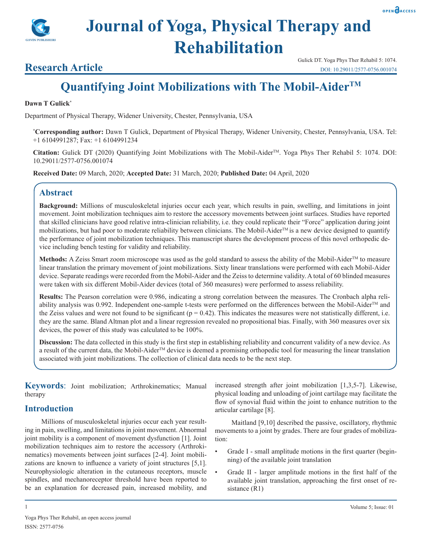



# **Research Article**

# **Quantifying Joint Mobilizations with The Mobil-AiderTM**

#### **Dawn T Gulick\***

Department of Physical Therapy, Widener University, Chester, Pennsylvania, USA

**\* Corresponding author:** Dawn T Gulick, Department of Physical Therapy, Widener University, Chester, Pennsylvania, USA. Tel: +1 6104991287; Fax: +1 6104991234

Citation: Gulick DT (2020) Quantifying Joint Mobilizations with The Mobil-Aider<sup>TM</sup>. Yoga Phys Ther Rehabil 5: 1074. DOI: 10.29011/2577-0756.001074

**Received Date:** 09 March, 2020; **Accepted Date:** 31 March, 2020; **Published Date:** 04 April, 2020

# **Abstract**

**Background:** Millions of musculoskeletal injuries occur each year, which results in pain, swelling, and limitations in joint movement. Joint mobilization techniques aim to restore the accessory movements between joint surfaces. Studies have reported that skilled clinicians have good relative intra-clinician reliability, i.e. they could replicate their "Force" application during joint mobilizations, but had poor to moderate reliability between clinicians. The Mobil-Aider™ is a new device designed to quantify the performance of joint mobilization techniques. This manuscript shares the development process of this novel orthopedic device including bench testing for validity and reliability.

Methods: A Zeiss Smart zoom microscope was used as the gold standard to assess the ability of the Mobil-Aider<sup>TM</sup> to measure linear translation the primary movement of joint mobilizations. Sixty linear translations were performed with each Mobil-Aider device. Separate readings were recorded from the Mobil-Aider and the Zeiss to determine validity. A total of 60 blinded measures were taken with six different Mobil-Aider devices (total of 360 measures) were performed to assess reliability.

**Results:** The Pearson correlation were 0.986, indicating a strong correlation between the measures. The Cronbach alpha reliability analysis was 0.992. Independent one-sample t-tests were performed on the differences between the Mobil-Aider<sup>TM</sup> and the Zeiss values and were not found to be significant  $(p = 0.42)$ . This indicates the measures were not statistically different, i.e. they are the same. Bland Altman plot and a linear regression revealed no propositional bias. Finally, with 360 measures over six devices, the power of this study was calculated to be 100%.

**Discussion:** The data collected in this study is the first step in establishing reliability and concurrent validity of a new device. As a result of the current data, the Mobil-Aider<sup>TM</sup> device is deemed a promising orthopedic tool for measuring the linear translation associated with joint mobilizations. The collection of clinical data needs to be the next step.

**Keywords**: Joint mobilization; Arthrokinematics; Manual therapy

# **Introduction**

Yoga Phys Ther Rehabil, an open access journal

Millions of musculoskeletal injuries occur each year resulting in pain, swelling, and limitations in joint movement. Abnormal joint mobility is a component of movement dysfunction [1]. Joint mobilization techniques aim to restore the accessory (Arthrokinematics) movements between joint surfaces [2-4]. Joint mobilizations are known to influence a variety of joint structures [5,1]. Neurophysiologic alteration in the cutaneous receptors, muscle spindles, and mechanoreceptor threshold have been reported to be an explanation for decreased pain, increased mobility, and

ISSN: 2577-0756

increased strength after joint mobilization [1,3,5-7]. Likewise, physical loading and unloading of joint cartilage may facilitate the flow of synovial fluid within the joint to enhance nutrition to the articular cartilage [8].

Maitland [9,10] described the passive, oscillatory, rhythmic movements to a joint by grades. There are four grades of mobilization:

- Grade I small amplitude motions in the first quarter (beginning) of the available joint translation
- Grade II larger amplitude motions in the first half of the available joint translation, approaching the first onset of resistance (R1)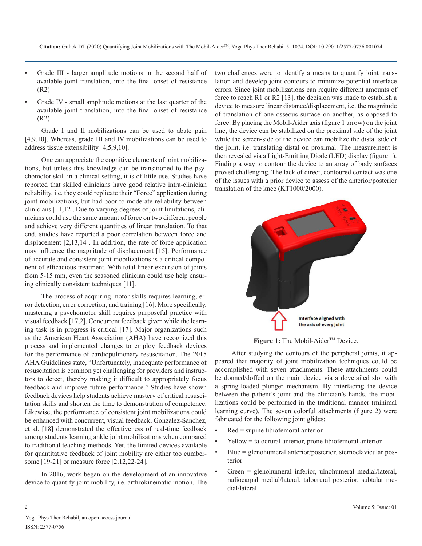- Grade III larger amplitude motions in the second half of available joint translation, into the final onset of resistance (R2)
- Grade IV small amplitude motions at the last quarter of the available joint translation, into the final onset of resistance (R2)

Grade I and II mobilizations can be used to abate pain [4,9,10]. Whereas, grade III and IV mobilizations can be used to address tissue extensibility [4,5,9,10].

One can appreciate the cognitive elements of joint mobilizations, but unless this knowledge can be transitioned to the psychomotor skill in a clinical setting, it is of little use. Studies have reported that skilled clinicians have good relative intra-clinician reliability, i.e. they could replicate their "Force" application during joint mobilizations, but had poor to moderate reliability between clinicians [11,12]. Due to varying degrees of joint limitations, clinicians could use the same amount of force on two different people and achieve very different quantities of linear translation. To that end, studies have reported a poor correlation between force and displacement [2,13,14]. In addition, the rate of force application may influence the magnitude of displacement [15]. Performance of accurate and consistent joint mobilizations is a critical component of efficacious treatment. With total linear excursion of joints from 5-15 mm, even the seasoned clinician could use help ensuring clinically consistent techniques [11].

The process of acquiring motor skills requires learning, error detection, error correction, and training [16]. More specifically, mastering a psychomotor skill requires purposeful practice with visual feedback [17,2]. Concurrent feedback given while the learning task is in progress is critical [17]. Major organizations such as the American Heart Association (AHA) have recognized this process and implemented changes to employ feedback devices for the performance of cardiopulmonary resuscitation. The 2015 AHA Guidelines state, "Unfortunately, inadequate performance of resuscitation is common yet challenging for providers and instructors to detect, thereby making it difficult to appropriately focus feedback and improve future performance." Studies have shown feedback devices help students achieve mastery of critical resuscitation skills and shorten the time to demonstration of competence. Likewise, the performance of consistent joint mobilizations could be enhanced with concurrent, visual feedback. Gonzalez-Sanchez, et al. [18] demonstrated the effectiveness of real-time feedback among students learning ankle joint mobilizations when compared to traditional teaching methods. Yet, the limited devices available for quantitative feedback of joint mobility are either too cumbersome [19-21] or measure force [2,12,22-24].

In 2016, work began on the development of an innovative device to quantify joint mobility, i.e. arthrokinematic motion. The two challenges were to identify a means to quantify joint translation and develop joint contours to minimize potential interface errors. Since joint mobilizations can require different amounts of force to reach R1 or R2 [13], the decision was made to establish a device to measure linear distance/displacement, i.e. the magnitude of translation of one osseous surface on another, as opposed to force. By placing the Mobil-Aider axis (figure 1 arrow) on the joint line, the device can be stabilized on the proximal side of the joint while the screen-side of the device can mobilize the distal side of the joint, i.e. translating distal on proximal. The measurement is then revealed via a Light-Emitting Diode (LED) display (figure 1). Finding a way to contour the device to an array of body surfaces proved challenging. The lack of direct, contoured contact was one of the issues with a prior device to assess of the anterior/posterior translation of the knee (KT1000/2000).



**Figure 1:** The Mobil-Aider<sup>™</sup> Device.

After studying the contours of the peripheral joints, it appeared that majority of joint mobilization techniques could be accomplished with seven attachments. These attachments could be donned/doffed on the main device via a dovetailed slot with a spring-loaded plunger mechanism. By interfacing the device between the patient's joint and the clinician's hands, the mobilizations could be performed in the traditional manner (minimal learning curve). The seven colorful attachments (figure 2) were fabricated for the following joint glides:

- Red = supine tibiofemoral anterior
- Yellow = talocrural anterior, prone tibiofemoral anterior
- Blue = glenohumeral anterior/posterior, sternoclavicular posterior
- Green = glenohumeral inferior, ulnohumeral medial/lateral, radiocarpal medial/lateral, talocrural posterior, subtalar medial/lateral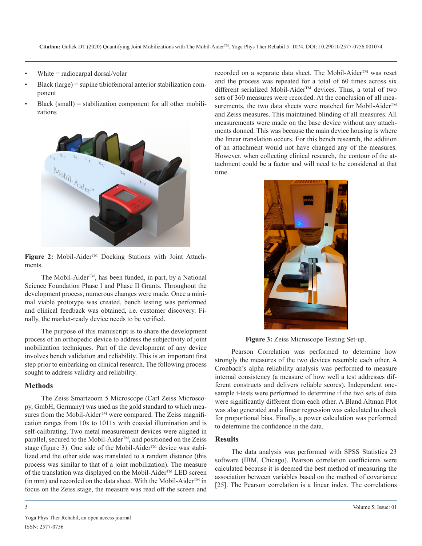- White  $=$  radiocarpal dorsal/volar
- Black (large) = supine tibiofemoral anterior stabilization component
- $Black (small) = stabilization component for all other mobili$ zations



Figure 2: Mobil-Aider<sup>™</sup> Docking Stations with Joint Attachments.

The Mobil-Aider<sup>TM</sup>, has been funded, in part, by a National Science Foundation Phase I and Phase II Grants. Throughout the development process, numerous changes were made. Once a minimal viable prototype was created, bench testing was performed and clinical feedback was obtained, i.e. customer discovery. Finally, the market-ready device needs to be verified.

The purpose of this manuscript is to share the development process of an orthopedic device to address the subjectivity of joint mobilization techniques. Part of the development of any device involves bench validation and reliability. This is an important first step prior to embarking on clinical research. The following process sought to address validity and reliability.

#### **Methods**

The Zeiss Smartzoom 5 Microscope (Carl Zeiss Microscopy, GmbH, Germany) was used as the gold standard to which measures from the Mobil-Aider<sup>™</sup> were compared. The Zeiss magnification ranges from 10x to 1011x with coaxial illumination and is self-calibrating. Two metal measurement devices were aligned in parallel, secured to the Mobil-Aider™, and positioned on the Zeiss stage (figure 3). One side of the Mobil-Aider™ device was stabilized and the other side was translated to a random distance (this process was similar to that of a joint mobilization). The measure of the translation was displayed on the Mobil-Aider<sup>™</sup> LED screen (in mm) and recorded on the data sheet. With the Mobil-Aider<sup>TM</sup> in focus on the Zeiss stage, the measure was read off the screen and

recorded on a separate data sheet. The Mobil-Aider™ was reset and the process was repeated for a total of 60 times across six different serialized Mobil-Aider<sup>™</sup> devices. Thus, a total of two sets of 360 measures were recorded. At the conclusion of all measurements, the two data sheets were matched for Mobil-Aider<sup>TM</sup> and Zeiss measures. This maintained blinding of all measures. All measurements were made on the base device without any attachments donned. This was because the main device housing is where the linear translation occurs. For this bench research, the addition of an attachment would not have changed any of the measures. However, when collecting clinical research, the contour of the attachment could be a factor and will need to be considered at that time.



**Figure 3:** Zeiss Microscope Testing Set-up.

Pearson Correlation was performed to determine how strongly the measures of the two devices resemble each other. A Cronbach's alpha reliability analysis was performed to measure internal consistency (a measure of how well a test addresses different constructs and delivers reliable scores). Independent onesample t-tests were performed to determine if the two sets of data were significantly different from each other. A Bland Altman Plot was also generated and a linear regression was calculated to check for proportional bias. Finally, a power calculation was performed to determine the confidence in the data.

#### **Results**

The data analysis was performed with SPSS Statistics 23 software (IBM, Chicago). Pearson correlation coefficients were calculated because it is deemed the best method of measuring the association between variables based on the method of covariance [25]. The Pearson correlation is a linear index. The correlations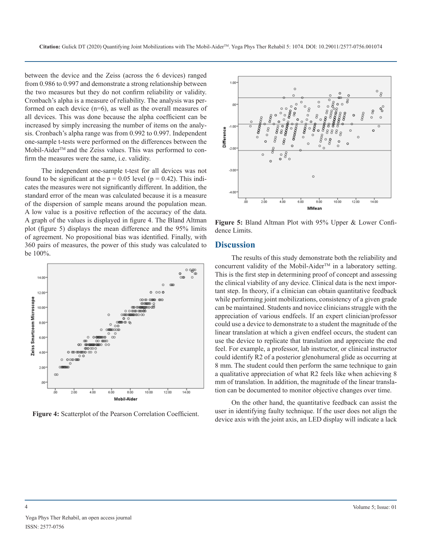between the device and the Zeiss (across the 6 devices) ranged from 0.986 to 0.997 and demonstrate a strong relationship between the two measures but they do not confirm reliability or validity. Cronbach's alpha is a measure of reliability. The analysis was performed on each device (n=6), as well as the overall measures of all devices. This was done because the alpha coefficient can be increased by simply increasing the number of items on the analysis. Cronbach's alpha range was from 0.992 to 0.997. Independent one-sample t-tests were performed on the differences between the Mobil-Aider<sup>TM</sup> and the Zeiss values. This was performed to confirm the measures were the same, i.e. validity.

The independent one-sample t-test for all devices was not found to be significant at the  $p = 0.05$  level ( $p = 0.42$ ). This indicates the measures were not significantly different. In addition, the standard error of the mean was calculated because it is a measure of the dispersion of sample means around the population mean. A low value is a positive reflection of the accuracy of the data. A graph of the values is displayed in figure 4. The Bland Altman plot (figure 5) displays the mean difference and the 95% limits of agreement. No propositional bias was identified. Finally, with 360 pairs of measures, the power of this study was calculated to be 100%.



**Figure 4:** Scatterplot of the Pearson Correlation Coefficient.



**Figure 5:** Bland Altman Plot with 95% Upper & Lower Confidence Limits.

#### **Discussion**

The results of this study demonstrate both the reliability and concurrent validity of the Mobil-Aider<sup>TM</sup> in a laboratory setting. This is the first step in determining proof of concept and assessing the clinical viability of any device. Clinical data is the next important step. In theory, if a clinician can obtain quantitative feedback while performing joint mobilizations, consistency of a given grade can be maintained. Students and novice clinicians struggle with the appreciation of various endfeels. If an expert clinician/professor could use a device to demonstrate to a student the magnitude of the linear translation at which a given endfeel occurs, the student can use the device to replicate that translation and appreciate the end feel. For example, a professor, lab instructor, or clinical instructor could identify R2 of a posterior glenohumeral glide as occurring at 8 mm. The student could then perform the same technique to gain a qualitative appreciation of what R2 feels like when achieving 8 mm of translation. In addition, the magnitude of the linear translation can be documented to monitor objective changes over time.

On the other hand, the quantitative feedback can assist the user in identifying faulty technique. If the user does not align the device axis with the joint axis, an LED display will indicate a lack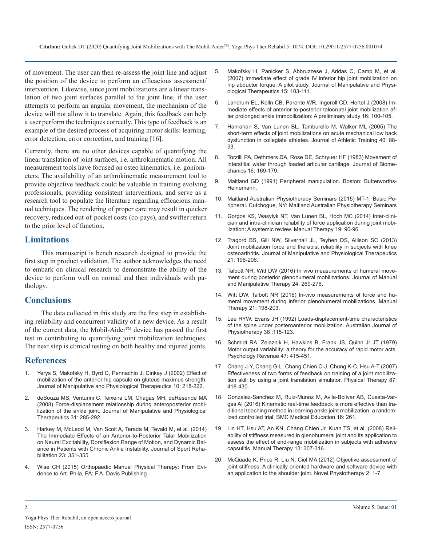of movement. The user can then re-assess the joint line and adjust the position of the device to perform an efficacious assessment/ intervention. Likewise, since joint mobilizations are a linear translation of two joint surfaces parallel to the joint line, if the user attempts to perform an angular movement, the mechanism of the device will not allow it to translate. Again, this feedback can help a user perform the techniques correctly. This type of feedback is an example of the desired process of acquiring motor skills: learning, error detection, error correction, and training [16].

Currently, there are no other devices capable of quantifying the linear translation of joint surfaces, i.e. arthrokinematic motion. All measurement tools have focused on osteo kinematics, i.e. goniometers. The availability of an arthrokinematic measurement tool to provide objective feedback could be valuable in training evolving professionals, providing consistent interventions, and serve as a research tool to populate the literature regarding efficacious manual techniques. The rendering of proper care may result in quicker recovery, reduced out-of-pocket costs (co-pays), and swifter return to the prior level of function.

# **Limitations**

This manuscript is bench research designed to provide the first step in product validation. The author acknowledges the need to embark on clinical research to demonstrate the ability of the [device to perform well on normal and then individuals with pa](https://www.ncbi.nlm.nih.gov/pmc/articles/PMC5125433/)thology.

# **Conclusions**

The data collected in this study are the first step in establishing reliability and concurrent validity of a new device. As a result of the current data, the Mobil-Aider<sup>™</sup> device has passed the first test in contributing to quantifying joint mobilization techniques. The next step is clinical testing on both healthy and injured joints.

# **References**

- 1. [Yerys S, Makofsky H, Byrd C, Pennachio J, Cinkay J \(2002\) Effect of](https://www.tandfonline.com/doi/abs/10.1179/106698102790819085) [mobilization of the anterior hip capsule on gluteus maximus strength.](https://www.tandfonline.com/doi/abs/10.1179/106698102790819085)  [Journal of Manipulative and Physiological Therapeutics 10: 218-222](https://www.tandfonline.com/doi/abs/10.1179/106698102790819085).
- 2. [deSouza MS, Venturini C, Teixeira LM, Chagas MH, deResende MA](https://www.ncbi.nlm.nih.gov/pubmed/18486749)  [\(2008\) Force-displacement relationship during anteroposterior mobi](https://www.ncbi.nlm.nih.gov/pubmed/18486749)[lization of the ankle joint. Journal of Manipulative and Physiological](https://www.ncbi.nlm.nih.gov/pubmed/18486749)  [Therapeutics 31: 285-292](https://www.ncbi.nlm.nih.gov/pubmed/18486749).
- 3. [Harkey M, McLeod M, Van Scoit A, Terada M, Tevald M, et al. \(2014\)](https://www.ncbi.nlm.nih.gov/pubmed/24700526)  [The Immediate Effects of an Anterior-to-Posterior Talar Mobilization](https://www.ncbi.nlm.nih.gov/pubmed/24700526) [on Neural Excitability, Dorsiflexion Range of Motion, and Dynamic Bal](https://www.ncbi.nlm.nih.gov/pubmed/24700526)[ance in Patients with Chronic Ankle Instability. Journal of Sport Reha](https://www.ncbi.nlm.nih.gov/pubmed/24700526)[bilitation 23: 351-355](https://www.ncbi.nlm.nih.gov/pubmed/24700526).
- 4. [Wise CH \(2015\) Orthopaedic Manual Physical Therapy: From Evi](https://fadavispt.mhmedical.com/content.aspx?bookid=2154§ionid=164750304)[dence to Art. Phila, PA: F.A. Davis Publishing](https://fadavispt.mhmedical.com/content.aspx?bookid=2154§ionid=164750304)
- 5. [Makofsky H, Panicker S, Abbruzzese J, Aridas C, Camp M, et al.](https://www.ncbi.nlm.nih.gov/pmc/articles/PMC2565609/)  [\(2007\) Immediate effect of grade IV inferior hip joint mobilization on](https://www.ncbi.nlm.nih.gov/pmc/articles/PMC2565609/)  [hip abductor torque: A pilot study. Journal of Manipulative and Physi](https://www.ncbi.nlm.nih.gov/pmc/articles/PMC2565609/)[ological Therapeutics 15: 103-111](https://www.ncbi.nlm.nih.gov/pmc/articles/PMC2565609/).
- 6. [Landrum EL, Kelln CB, Parente WR, Ingeroll CD, Hertel J \(2008\) Im](https://www.ncbi.nlm.nih.gov/pubmed/19119395)[mediate effects of anterior-to-posterior talocrural joint mobilization af](https://www.ncbi.nlm.nih.gov/pubmed/19119395)[ter prolonged ankle immobilization: A preliminary study 16: 100-105.](https://www.ncbi.nlm.nih.gov/pubmed/19119395)
- 7. [Hanrahan S, Van Lunen BL, Tamburello M, Walker ML \(2005\) The](https://www.ncbi.nlm.nih.gov/pmc/articles/PMC1150231/) [short-term effects of joint mobilizations on acute mechanical low back](https://www.ncbi.nlm.nih.gov/pmc/articles/PMC1150231/) [dysfunction in collegiate athletes. Journal of Athletic Training 40: 88-](https://www.ncbi.nlm.nih.gov/pmc/articles/PMC1150231/) [93.](https://www.ncbi.nlm.nih.gov/pmc/articles/PMC1150231/)
- 8. [Torzilli PA, Dethmers DA, Rose DE, Schryuer HF \(1983\) Movement of](https://www.sciencedirect.com/science/article/abs/pii/0021929083901240)  [interstitial water through loaded articular cartilage. Journal of Biome](https://www.sciencedirect.com/science/article/abs/pii/0021929083901240)[chanics 16: 169-179](https://www.sciencedirect.com/science/article/abs/pii/0021929083901240).
- 9. Maitland GD (1991) Peripheral manipulation. Boston: Butterworths-Heinemann.
- 10. Maitland Australian Physiotherapy Seminars (2015) MT-1: Basic Peripheral. Cutchogue, NY: Maitland Australian Physiotherapy Seminars
- 11. [Gorgos KS, Wasylyk NT, Van Lunen BL, Hoch MC \(2014\) Inter-clini](https://www.ncbi.nlm.nih.gov/books/NBK184699/)[cian and intra-clinician reliability of force application during joint mobi](https://www.ncbi.nlm.nih.gov/books/NBK184699/)[lization: A systemic review. Manual Therapy 19: 90-96](https://www.ncbi.nlm.nih.gov/books/NBK184699/)
- 12. [Tragord BS, Gill NW, Silvernail JL, Teyhen DS, Allison SC \(2013\)](https://www.ncbi.nlm.nih.gov/pmc/articles/PMC3822319/)  [Joint mobilization force and therapist reliability in subjects with knee](https://www.ncbi.nlm.nih.gov/pmc/articles/PMC3822319/)  [osteoarthritis. Journal of Manipulative and Physiological Therapeutics](https://www.ncbi.nlm.nih.gov/pmc/articles/PMC3822319/)  [21: 196-206.](https://www.ncbi.nlm.nih.gov/pmc/articles/PMC3822319/)
- 13. [Talbott NR, Witt DW \(2016\) In vivo measurements of humeral move](https://www.ncbi.nlm.nih.gov/pmc/articles/PMC5125433/)ment during posterior glenohumeral mobilizations. Journal of Manual [and Manipulative Therapy 24: 269-276.](https://www.ncbi.nlm.nih.gov/pmc/articles/PMC5125433/)
- 14. [Witt DW, Talbott NR \(2016\) In-vivo measurements of force and hu](https://www.ncbi.nlm.nih.gov/pubmed/26324323)[meral movement during inferior glenohumeral mobilizations. Manual](https://www.ncbi.nlm.nih.gov/pubmed/26324323)  [Therapy 21: 198-203](https://www.ncbi.nlm.nih.gov/pubmed/26324323).
- 15. [Lee RYW, Evans JH \(1992\) Loads-displacement-time characteristics](https://www.ncbi.nlm.nih.gov/pubmed/25025643)  [of the spine under posteroanterior mobilization. Australian Journal of](https://www.ncbi.nlm.nih.gov/pubmed/25025643)  [Physiotherapy 38 :115-123](https://www.ncbi.nlm.nih.gov/pubmed/25025643).
- 16. [Schmidt RA, Zelaznik H, Hawkins B, Frank JS, Quinn Jr JT \(1979\)](https://www.ncbi.nlm.nih.gov/pubmed/504536)  [Motor output variability: a theory for the accuracy of rapid motor acts.](https://www.ncbi.nlm.nih.gov/pubmed/504536)  [Psychology Revenue 47: 415-451](https://www.ncbi.nlm.nih.gov/pubmed/504536).
- 17. [Chang J-Y, Chang G-L, Chang Chien C-J, Chung K-C, Hsu A-T \(2007\)](https://www.ncbi.nlm.nih.gov/pubmed/17341511) Effectiveness of two forms of feedback on training of a joint mobiliza[tion skill by using a joint translation simulator. Physical Therapy 87:](https://www.ncbi.nlm.nih.gov/pubmed/17341511)  [418-430](https://www.ncbi.nlm.nih.gov/pubmed/17341511).
- 18. [Gonzalez-Sanchez M, Ruiz-Munoz M, Avila-Bolivar AB, Cuesta-Var](https://bmcmededuc.biomedcentral.com/articles/10.1186/s12909-016-0789-8)[gas AI \(2016\) Kinematic real-time feedback is more effective than tra](https://bmcmededuc.biomedcentral.com/articles/10.1186/s12909-016-0789-8)[ditional teaching method in learning ankle joint mobilization: a random](https://bmcmededuc.biomedcentral.com/articles/10.1186/s12909-016-0789-8)[ized controlled trial. BMC Medical Education 16: 261](https://bmcmededuc.biomedcentral.com/articles/10.1186/s12909-016-0789-8).
- 19. [Lin HT, Hsu AT, An KN, Chang Chien Jr, Kuan TS, et al. \(2008\) Reli](https://www.ncbi.nlm.nih.gov/pubmed/17936055)ability of stiffness measured in glenohumeral joint and its application to [assess the effect of end-range mobilization in subjects with adhesive](https://www.ncbi.nlm.nih.gov/pubmed/17936055)  [capsulitis. Manual Therapy 13: 307-316.](https://www.ncbi.nlm.nih.gov/pubmed/17936055)
- 20. [McQuade K, Price R, Liu N, Ciol MA \(2012\) Objective assessment of](https://www.ncbi.nlm.nih.gov/pmc/articles/PMC3639440/) [joint stiffness: A clinically oriented hardware and software device with](https://www.ncbi.nlm.nih.gov/pmc/articles/PMC3639440/)  [an application to the shoulder joint. Novel Physiotherapy 2: 1-7.](https://www.ncbi.nlm.nih.gov/pmc/articles/PMC3639440/)